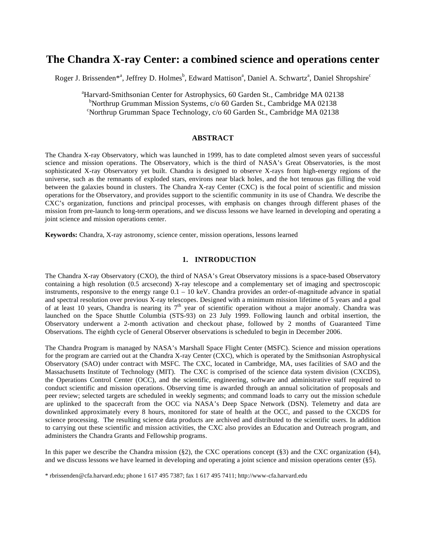# **The Chandra X-ray Center: a combined science and operations center**

Roger J. Brissenden\*<sup>a</sup>, Jeffrey D. Holmes<sup>b</sup>, Edward Mattison<sup>a</sup>, Daniel A. Schwartz<sup>a</sup>, Daniel Shropshire<sup>c</sup>

<sup>a</sup>Harvard-Smithsonian Center for Astrophysics, 60 Garden St., Cambridge MA 02138 <sup>b</sup>Northrup Grumman Mission Systems, c/o 60 Garden St., Cambridge MA 02138 c Northrup Grumman Space Technology, c/o 60 Garden St., Cambridge MA 02138

# **ABSTRACT**

The Chandra X-ray Observatory, which was launched in 1999, has to date completed almost seven years of successful science and mission operations. The Observatory, which is the third of NASA's Great Observatories, is the most sophisticated X-ray Observatory yet built. Chandra is designed to observe X-rays from high-energy regions of the universe, such as the remnants of exploded stars, environs near black holes, and the hot tenuous gas filling the void between the galaxies bound in clusters. The Chandra X-ray Center (CXC) is the focal point of scientific and mission operations for the Observatory, and provides support to the scientific community in its use of Chandra. We describe the CXC's organization, functions and principal processes, with emphasis on changes through different phases of the mission from pre-launch to long-term operations, and we discuss lessons we have learned in developing and operating a joint science and mission operations center.

**Keywords:** Chandra, X-ray astronomy, science center, mission operations, lessons learned

# **1. INTRODUCTION**

The Chandra X-ray Observatory (CXO), the third of NASA's Great Observatory missions is a space-based Observatory containing a high resolution (0.5 arcsecond) X-ray telescope and a complementary set of imaging and spectroscopic instruments, responsive to the energy range  $0.1 - 10 \text{ keV}$ . Chandra provides an order-of-magnitude advance in spatial and spectral resolution over previous X-ray telescopes. Designed with a minimum mission lifetime of 5 years and a goal of at least 10 years, Chandra is nearing its  $7<sup>th</sup>$  year of scientific operation without a major anomaly. Chandra was launched on the Space Shuttle Columbia (STS-93) on 23 July 1999. Following launch and orbital insertion, the Observatory underwent a 2-month activation and checkout phase, followed by 2 months of Guaranteed Time Observations. The eighth cycle of General Observer observations is scheduled to begin in December 2006.

The Chandra Program is managed by NASA's Marshall Space Flight Center (MSFC). Science and mission operations for the program are carried out at the Chandra X-ray Center (CXC), which is operated by the Smithsonian Astrophysical Observatory (SAO) under contract with MSFC. The CXC, located in Cambridge, MA, uses facilities of SAO and the Massachusetts Institute of Technology (MIT). The CXC is comprised of the science data system division (CXCDS), the Operations Control Center (OCC), and the scientific, engineering, software and administrative staff required to conduct scientific and mission operations. Observing time is awarded through an annual solicitation of proposals and peer review; selected targets are scheduled in weekly segments; and command loads to carry out the mission schedule are uplinked to the spacecraft from the OCC via NASA's Deep Space Network (DSN). Telemetry and data are downlinked approximately every 8 hours, monitored for state of health at the OCC, and passed to the CXCDS for science processing. The resulting science data products are archived and distributed to the scientific users. In addition to carrying out these scientific and mission activities, the CXC also provides an Education and Outreach program, and administers the Chandra Grants and Fellowship programs.

In this paper we describe the Chandra mission (§2), the CXC operations concept (§3) and the CXC organization (§4), and we discuss lessons we have learned in developing and operating a joint science and mission operations center (§5).

\* rbrissenden@cfa.harvard.edu; phone 1 617 495 7387; fax 1 617 495 7411; http://www-cfa.harvard.edu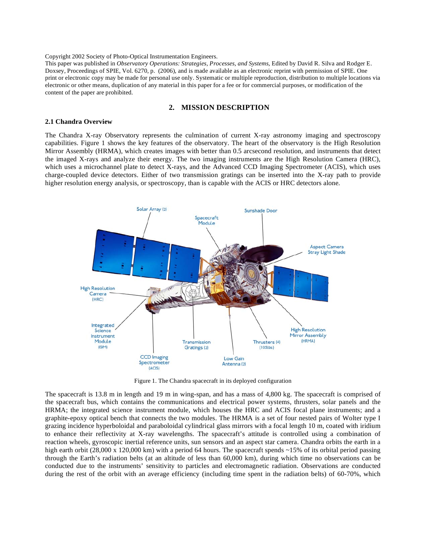#### Copyright 2002 Society of Photo-Optical Instrumentation Engineers.

This paper was published in *Observatory Operations: Strategies, Processes, and Systems*, Edited by David R. Silva and Rodger E. Doxsey, Proceedings of SPIE, Vol. 6270, p. (2006), and is made available as an electronic reprint with permission of SPIE. One print or electronic copy may be made for personal use only. Systematic or multiple reproduction, distribution to multiple locations via electronic or other means, duplication of any material in this paper for a fee or for commercial purposes, or modification of the content of the paper are prohibited.

# **2. MISSION DESCRIPTION**

#### **2.1 Chandra Overview**

The Chandra X-ray Observatory represents the culmination of current X-ray astronomy imaging and spectroscopy capabilities. Figure 1 shows the key features of the observatory. The heart of the observatory is the High Resolution Mirror Assembly (HRMA), which creates images with better than 0.5 arcsecond resolution, and instruments that detect the imaged X-rays and analyze their energy. The two imaging instruments are the High Resolution Camera (HRC), which uses a microchannel plate to detect X-rays, and the Advanced CCD Imaging Spectrometer (ACIS), which uses charge-coupled device detectors. Either of two transmission gratings can be inserted into the X-ray path to provide higher resolution energy analysis, or spectroscopy, than is capable with the ACIS or HRC detectors alone.



Figure 1. The Chandra spacecraft in its deployed configuration

The spacecraft is 13.8 m in length and 19 m in wing-span, and has a mass of 4,800 kg. The spacecraft is comprised of the spacecraft bus, which contains the communications and electrical power systems, thrusters, solar panels and the HRMA; the integrated science instrument module, which houses the HRC and ACIS focal plane instruments; and a graphite-epoxy optical bench that connects the two modules. The HRMA is a set of four nested pairs of Wolter type I grazing incidence hyperboloidal and paraboloidal cylindrical glass mirrors with a focal length 10 m, coated with iridium to enhance their reflectivity at X-ray wavelengths. The spacecraft's attitude is controlled using a combination of reaction wheels, gyroscopic inertial reference units, sun sensors and an aspect star camera. Chandra orbits the earth in a high earth orbit (28,000 x 120,000 km) with a period 64 hours. The spacecraft spends ~15% of its orbital period passing through the Earth's radiation belts (at an altitude of less than 60,000 km), during which time no observations can be conducted due to the instruments' sensitivity to particles and electromagnetic radiation. Observations are conducted during the rest of the orbit with an average efficiency (including time spent in the radiation belts) of 60-70%, which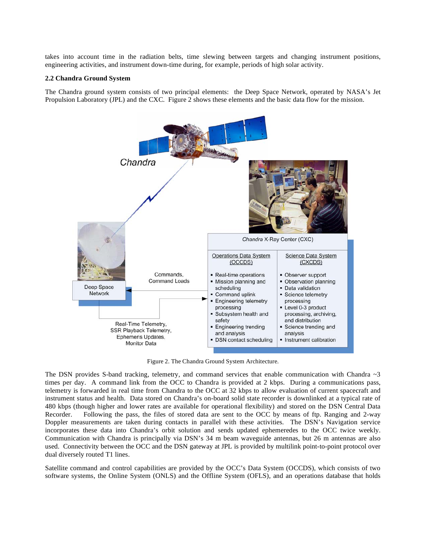takes into account time in the radiation belts, time slewing between targets and changing instrument positions, engineering activities, and instrument down-time during, for example, periods of high solar activity.

## **2.2 Chandra Ground System**

The Chandra ground system consists of two principal elements: the Deep Space Network, operated by NASA's Jet Propulsion Laboratory (JPL) and the CXC. Figure 2 shows these elements and the basic data flow for the mission.



Figure 2. The Chandra Ground System Architecture.

The DSN provides S-band tracking, telemetry, and command services that enable communication with Chandra  $\sim$ 3 times per day. A command link from the OCC to Chandra is provided at 2 kbps. During a communications pass, telemetry is forwarded in real time from Chandra to the OCC at 32 kbps to allow evaluation of current spacecraft and instrument status and health. Data stored on Chandra's on-board solid state recorder is downlinked at a typical rate of 480 kbps (though higher and lower rates are available for operational flexibility) and stored on the DSN Central Data Recorder. Following the pass, the files of stored data are sent to the OCC by means of ftp. Ranging and 2-way Doppler measurements are taken during contacts in parallel with these activities. The DSN's Navigation service incorporates these data into Chandra's orbit solution and sends updated ephemeredes to the OCC twice weekly. Communication with Chandra is principally via DSN's 34 m beam waveguide antennas, but 26 m antennas are also used. Connectivity between the OCC and the DSN gateway at JPL is provided by multilink point-to-point protocol over dual diversely routed T1 lines.

Satellite command and control capabilities are provided by the OCC's Data System (OCCDS), which consists of two software systems, the Online System (ONLS) and the Offline System (OFLS), and an operations database that holds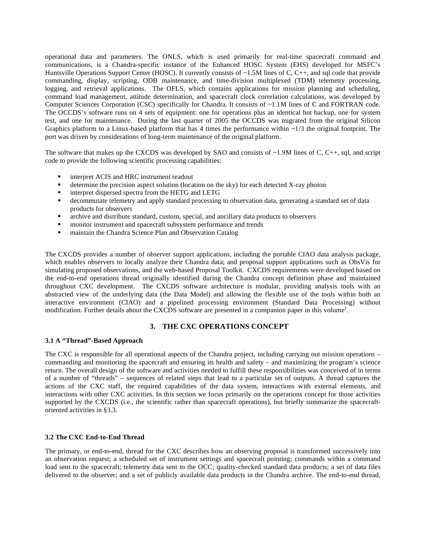operational data and parameters. The ONLS, which is used primarily for real-time spacecraft command and communications, is a Chandra-specific instance of the Enhanced HOSC System (EHS) developed for MSFC's Huntsville Operations Support Center (HOSC). It currently consists of ~1.5M lines of C, C++, and sql code that provide commanding, display, scripting, ODB maintenance, and time-division multiplexed (TDM) telemetry processing, logging, and retrieval applications. The OFLS, which contains applications for mission planning and scheduling, command load management, attitude determination, and spacecraft clock correlation calculations, was developed by Computer Sciences Corporation (CSC) specifically for Chandra. It consists of ~1.1M lines of C and FORTRAN code. The OCCDS's software runs on 4 sets of equipment: one for operations plus an identical hot backup, one for system test, and one for maintenance. During the last quarter of 2005 the OCCDS was migrated from the original Silicon Graphics platform to a Linux-based platform that has 4 times the performance within  $\sim 1/3$  the original footprint. The port was driven by considerations of long-term maintenance of the original platform.

The software that makes up the CXCDS was developed by SAO and consists of  $\sim$ 1.9M lines of C, C++, sql, and script code to provide the following scientific processing capabilities:

- interpret ACIS and HRC instrument readout
- determine the precision aspect solution (location on the sky) for each detected X-ray photon
- interpret dispersed spectra from the HETG and LETG
- decommutate telemetry and apply standard processing to observation data, generating a standard set of data products for observers
- archive and distribute standard, custom, special, and ancillary data products to observers
- monitor instrument and spacecraft subsystem performance and trends
- **EXECUTE:** maintain the Chandra Science Plan and Observation Catalog

The CXCDS provides a number of observer support applications, including the portable CIAO data analysis package, which enables observers to locally analyze their Chandra data; and proposal support applications such as ObsVis for simulating proposed observations, and the web-based Proposal Toolkit. CXCDS requirements were developed based on the end-to-end operations thread originally identified during the Chandra concept definition phase and maintained throughout CXC development. The CXCDS software architecture is modular, providing analysis tools with an abstracted view of the underlying data (the Data Model) and allowing the flexible use of the tools within both an interactive environment (CIAO) and a pipelined processing environment (Standard Data Processing) without modification. Further details about the CXCDS software are presented in a companion paper in this volume<sup>1</sup>.

# **3. THE CXC OPERATIONS CONCEPT**

# **3.1 A "Thread"-Based Approach**

The CXC is responsible for all operational aspects of the Chandra project, including carrying out mission operations – commanding and monitoring the spacecraft and ensuring its health and safety – and maximizing the program's science return. The overall design of the software and activities needed to fulfill these responsibilities was conceived of in terms of a number of "threads" – sequences of related steps that lead to a particular set of outputs. A thread captures the actions of the CXC staff, the required capabilities of the data system, interactions with external elements, and interactions with other CXC activities. In this section we focus primarily on the operations concept for those activities supported by the CXCDS (i.e., the scientific rather than spacecraft operations), but briefly summarize the spacecraftoriented activities in §3.3.

# **3.2 The CXC End-to-End Thread**

The primary, or end-to-end, thread for the CXC describes how an observing proposal is transformed successively into an observation request; a scheduled set of instrument settings and spacecraft pointing; commands within a command load sent to the spacecraft; telemetry data sent to the OCC; quality-checked standard data products; a set of data files delivered to the observer; and a set of publicly available data products in the Chandra archive. The end-to-end thread,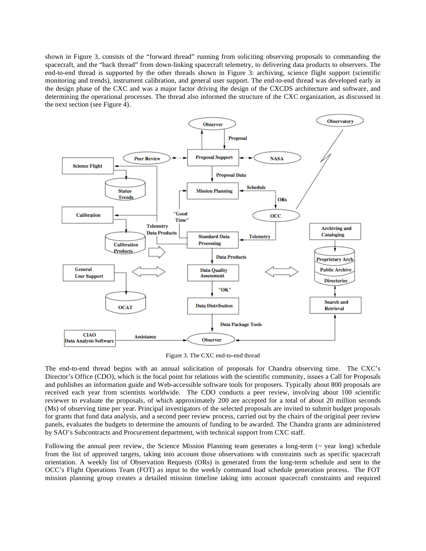shown in Figure 3, consists of the "forward thread" running from soliciting observing proposals to commanding the spacecraft, and the "back thread" from down-linking spacecraft telemetry, to delivering data products to observers. The end-to-end thread is supported by the other threads shown in Figure 3: archiving, science flight support (scientific monitoring and trends), instrument calibration, and general user support. The end-to-end thread was developed early in the design phase of the CXC and was a major factor driving the design of the CXCDS architecture and software, and determining the operational processes. The thread also informed the structure of the CXC organization, as discussed in the next section (see Figure 4).



Figure 3. The CXC end-to-end thread

The end-to-end thread begins with an annual solicitation of proposals for Chandra observing time. The CXC's Director's Office (CDO), which is the focal point for relations with the scientific community, issues a Call for Proposals and publishes an information guide and Web-accessible software tools for proposers. Typically about 800 proposals are received each year from scientists worldwide. The CDO conducts a peer review, involving about 100 scientific reviewer to evaluate the proposals, of which approximately 200 are accepted for a total of about 20 million seconds (Ms) of observing time per year. Principal investigators of the selected proposals are invited to submit budget proposals for grants that fund data analysis, and a second peer review process, carried out by the chairs of the original peer review panels, evaluates the budgets to determine the amounts of funding to be awarded. The Chandra grants are administered by SAO's Subcontracts and Procurement department, with technical support from CXC staff.

Following the annual peer review, the Science Mission Planning team generates a long-term (~ year long) schedule from the list of approved targets, taking into account those observations with constraints such as specific spacecraft orientation. A weekly list of Observation Requests (ORs) is generated from the long-term schedule and sent to the OCC's Flight Operations Team (FOT) as input to the weekly command load schedule generation process. The FOT mission planning group creates a detailed mission timeline taking into account spacecraft constraints and required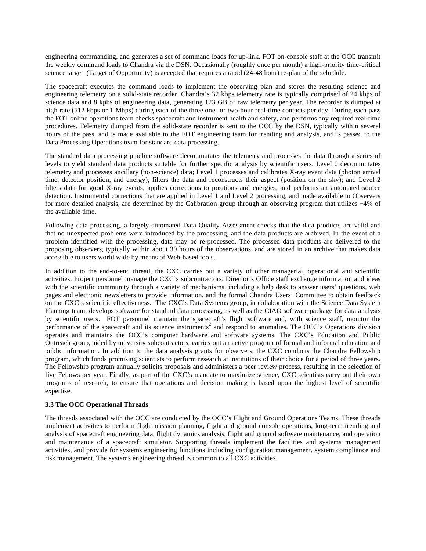engineering commanding, and generates a set of command loads for up-link. FOT on-console staff at the OCC transmit the weekly command loads to Chandra via the DSN. Occasionally (roughly once per month) a high-priority time-critical science target (Target of Opportunity) is accepted that requires a rapid (24-48 hour) re-plan of the schedule.

The spacecraft executes the command loads to implement the observing plan and stores the resulting science and engineering telemetry on a solid-state recorder. Chandra's 32 kbps telemetry rate is typically comprised of 24 kbps of science data and 8 kpbs of engineering data, generating 123 GB of raw telemetry per year. The recorder is dumped at high rate (512 kbps or 1 Mbps) during each of the three one- or two-hour real-time contacts per day. During each pass the FOT online operations team checks spacecraft and instrument health and safety, and performs any required real-time procedures. Telemetry dumped from the solid-state recorder is sent to the OCC by the DSN, typically within several hours of the pass, and is made available to the FOT engineering team for trending and analysis, and is passed to the Data Processing Operations team for standard data processing.

The standard data processing pipeline software decommutates the telemetry and processes the data through a series of levels to yield standard data products suitable for further specific analysis by scientific users. Level 0 decommutates telemetry and processes ancillary (non-science) data; Level 1 processes and calibrates X-ray event data (photon arrival time, detector position, and energy), filters the data and reconstructs their aspect (position on the sky); and Level 2 filters data for good X-ray events, applies corrections to positions and energies, and performs an automated source detection. Instrumental corrections that are applied in Level 1 and Level 2 processing, and made available to Observers for more detailed analysis, are determined by the Calibration group through an observing program that utilizes ~4% of the available time.

Following data processing, a largely automated Data Quality Assessment checks that the data products are valid and that no unexpected problems were introduced by the processing, and the data products are archived. In the event of a problem identified with the processing, data may be re-processed. The processed data products are delivered to the proposing observers, typically within about 30 hours of the observations, and are stored in an archive that makes data accessible to users world wide by means of Web-based tools.

In addition to the end-to-end thread, the CXC carries out a variety of other managerial, operational and scientific activities. Project personnel manage the CXC's subcontractors. Director's Office staff exchange information and ideas with the scientific community through a variety of mechanisms, including a help desk to answer users' questions, web pages and electronic newsletters to provide information, and the formal Chandra Users' Committee to obtain feedback on the CXC's scientific effectiveness. The CXC's Data Systems group, in collaboration with the Science Data System Planning team, develops software for standard data processing, as well as the CIAO software package for data analysis by scientific users. FOT personnel maintain the spacecraft's flight software and, with science staff, monitor the performance of the spacecraft and its science instruments<sup>2</sup> and respond to anomalies. The OCC's Operations division operates and maintains the OCC's computer hardware and software systems. The CXC's Education and Public Outreach group, aided by university subcontractors, carries out an active program of formal and informal education and public information. In addition to the data analysis grants for observers, the CXC conducts the Chandra Fellowship program, which funds promising scientists to perform research at institutions of their choice for a period of three years. The Fellowship program annually solicits proposals and administers a peer review process, resulting in the selection of five Fellows per year. Finally, as part of the CXC's mandate to maximize science, CXC scientists carry out their own programs of research, to ensure that operations and decision making is based upon the highest level of scientific expertise.

# **3.3 The OCC Operational Threads**

The threads associated with the OCC are conducted by the OCC's Flight and Ground Operations Teams. These threads implement activities to perform flight mission planning, flight and ground console operations, long-term trending and analysis of spacecraft engineering data, flight dynamics analysis, flight and ground software maintenance, and operation and maintenance of a spacecraft simulator. Supporting threads implement the facilities and systems management activities, and provide for systems engineering functions including configuration management, system compliance and risk management. The systems engineering thread is common to all CXC activities.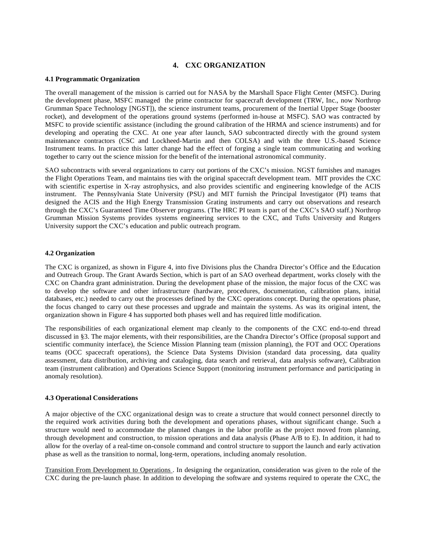# **4. CXC ORGANIZATION**

#### **4.1 Programmatic Organization**

The overall management of the mission is carried out for NASA by the Marshall Space Flight Center (MSFC). During the development phase, MSFC managed the prime contractor for spacecraft development (TRW, Inc., now Northrop Grumman Space Technology [NGST]), the science instrument teams, procurement of the Inertial Upper Stage (booster rocket), and development of the operations ground systems (performed in-house at MSFC). SAO was contracted by MSFC to provide scientific assistance (including the ground calibration of the HRMA and science instruments) and for developing and operating the CXC. At one year after launch, SAO subcontracted directly with the ground system maintenance contractors (CSC and Lockheed-Martin and then COLSA) and with the three U.S.-based Science Instrument teams. In practice this latter change had the effect of forging a single team communicating and working together to carry out the science mission for the benefit of the international astronomical community.

SAO subcontracts with several organizations to carry out portions of the CXC's mission. NGST furnishes and manages the Flight Operations Team, and maintains ties with the original spacecraft development team. MIT provides the CXC with scientific expertise in X-ray astrophysics, and also provides scientific and engineering knowledge of the ACIS instrument. The Pennsylvania State University (PSU) and MIT furnish the Principal Investigator (PI) teams that designed the ACIS and the High Energy Transmission Grating instruments and carry out observations and research through the CXC's Guaranteed Time Observer programs. (The HRC PI team is part of the CXC's SAO staff.) Northrop Grumman Mission Systems provides systems engineering services to the CXC, and Tufts University and Rutgers University support the CXC's education and public outreach program.

# **4.2 Organization**

The CXC is organized, as shown in Figure 4, into five Divisions plus the Chandra Director's Office and the Education and Outreach Group. The Grant Awards Section, which is part of an SAO overhead department, works closely with the CXC on Chandra grant administration. During the development phase of the mission, the major focus of the CXC was to develop the software and other infrastructure (hardware, procedures, documentation, calibration plans, initial databases, etc.) needed to carry out the processes defined by the CXC operations concept. During the operations phase, the focus changed to carry out these processes and upgrade and maintain the systems. As was its original intent, the organization shown in Figure 4 has supported both phases well and has required little modification.

The responsibilities of each organizational element map cleanly to the components of the CXC end-to-end thread discussed in §3. The major elements, with their responsibilities, are the Chandra Director's Office (proposal support and scientific community interface), the Science Mission Planning team (mission planning), the FOT and OCC Operations teams (OCC spacecraft operations), the Science Data Systems Division (standard data processing, data quality assessment, data distribution, archiving and cataloging, data search and retrieval, data analysis software), Calibration team (instrument calibration) and Operations Science Support (monitoring instrument performance and participating in anomaly resolution).

# **4.3 Operational Considerations**

A major objective of the CXC organizational design was to create a structure that would connect personnel directly to the required work activities during both the development and operations phases, without significant change. Such a structure would need to accommodate the planned changes in the labor profile as the project moved from planning, through development and construction, to mission operations and data analysis (Phase A/B to E). In addition, it had to allow for the overlay of a real-time on-console command and control structure to support the launch and early activation phase as well as the transition to normal, long-term, operations, including anomaly resolution.

Transition From Development to Operations . In designing the organization, consideration was given to the role of the CXC during the pre-launch phase. In addition to developing the software and systems required to operate the CXC, the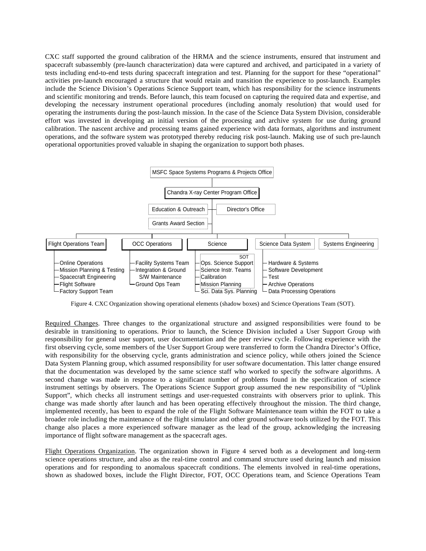CXC staff supported the ground calibration of the HRMA and the science instruments, ensured that instrument and spacecraft subassembly (pre-launch characterization) data were captured and archived, and participated in a variety of tests including end-to-end tests during spacecraft integration and test. Planning for the support for these "operational" activities pre-launch encouraged a structure that would retain and transition the experience to post-launch. Examples include the Science Division's Operations Science Support team, which has responsibility for the science instruments and scientific monitoring and trends. Before launch, this team focused on capturing the required data and expertise, and developing the necessary instrument operational procedures (including anomaly resolution) that would used for operating the instruments during the post-launch mission. In the case of the Science Data System Division, considerable effort was invested in developing an initial version of the processing and archive system for use during ground calibration. The nascent archive and processing teams gained experience with data formats, algorithms and instrument operations, and the software system was prototyped thereby reducing risk post-launch. Making use of such pre-launch operational opportunities proved valuable in shaping the organization to support both phases.



Figure 4. CXC Organization showing operational elements (shadow boxes) and Science Operations Team (SOT).

Required Changes. Three changes to the organizational structure and assigned responsibilities were found to be desirable in transitioning to operations. Prior to launch, the Science Division included a User Support Group with responsibility for general user support, user documentation and the peer review cycle. Following experience with the first observing cycle, some members of the User Support Group were transferred to form the Chandra Director's Office, with responsibility for the observing cycle, grants administration and science policy, while others joined the Science Data System Planning group, which assumed responsibility for user software documentation. This latter change ensured that the documentation was developed by the same science staff who worked to specify the software algorithms. A second change was made in response to a significant number of problems found in the specification of science instrument settings by observers. The Operations Science Support group assumed the new responsibility of "Uplink Support", which checks all instrument settings and user-requested constraints with observers prior to uplink. This change was made shortly after launch and has been operating effectively throughout the mission. The third change, implemented recently, has been to expand the role of the Flight Software Maintenance team within the FOT to take a broader role including the maintenance of the flight simulator and other ground software tools utilized by the FOT. This change also places a more experienced software manager as the lead of the group, acknowledging the increasing importance of flight software management as the spacecraft ages.

Flight Operations Organization. The organization shown in Figure 4 served both as a development and long-term science operations structure, and also as the real-time control and command structure used during launch and mission operations and for responding to anomalous spacecraft conditions. The elements involved in real-time operations, shown as shadowed boxes, include the Flight Director, FOT, OCC Operations team, and Science Operations Team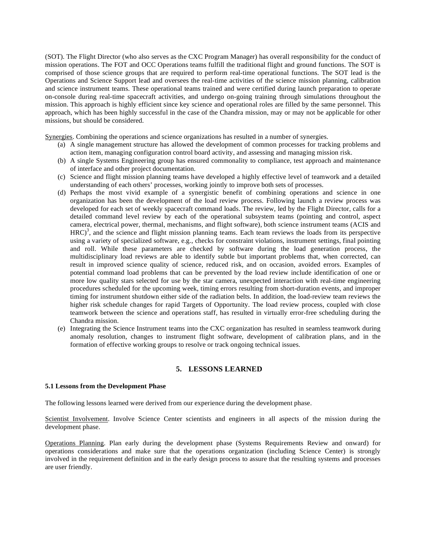(SOT). The Flight Director (who also serves as the CXC Program Manager) has overall responsibility for the conduct of mission operations. The FOT and OCC Operations teams fulfill the traditional flight and ground functions. The SOT is comprised of those science groups that are required to perform real-time operational functions. The SOT lead is the Operations and Science Support lead and oversees the real-time activities of the science mission planning, calibration and science instrument teams. These operational teams trained and were certified during launch preparation to operate on-console during real-time spacecraft activities, and undergo on-going training through simulations throughout the mission. This approach is highly efficient since key science and operational roles are filled by the same personnel. This approach, which has been highly successful in the case of the Chandra mission, may or may not be applicable for other missions, but should be considered.

Synergies. Combining the operations and science organizations has resulted in a number of synergies.

- (a) A single management structure has allowed the development of common processes for tracking problems and action item, managing configuration control board activity, and assessing and managing mission risk.
- (b) A single Systems Engineering group has ensured commonality to compliance, test approach and maintenance of interface and other project documentation.
- (c) Science and flight mission planning teams have developed a highly effective level of teamwork and a detailed understanding of each others' processes, working jointly to improve both sets of processes.
- (d) Perhaps the most vivid example of a synergistic benefit of combining operations and science in one organization has been the development of the load review process. Following launch a review process was developed for each set of weekly spacecraft command loads. The review, led by the Flight Director, calls for a detailed command level review by each of the operational subsystem teams (pointing and control, aspect camera, electrical power, thermal, mechanisms, and flight software), both science instrument teams (ACIS and  $HRC$ <sup>3</sup>, and the science and flight mission planning teams. Each team reviews the loads from its perspective using a variety of specialized software, e.g., checks for constraint violations, instrument settings, final pointing and roll. While these parameters are checked by software during the load generation process, the multidisciplinary load reviews are able to identify subtle but important problems that, when corrected, can result in improved science quality of science, reduced risk, and on occasion, avoided errors. Examples of potential command load problems that can be prevented by the load review include identification of one or more low quality stars selected for use by the star camera, unexpected interaction with real-time engineering procedures scheduled for the upcoming week, timing errors resulting from short-duration events, and improper timing for instrument shutdown either side of the radiation belts. In addition, the load-review team reviews the higher risk schedule changes for rapid Targets of Opportunity. The load review process, coupled with close teamwork between the science and operations staff, has resulted in virtually error-free scheduling during the Chandra mission.
- (e) Integrating the Science Instrument teams into the CXC organization has resulted in seamless teamwork during anomaly resolution, changes to instrument flight software, development of calibration plans, and in the formation of effective working groups to resolve or track ongoing technical issues.

# **5. LESSONS LEARNED**

## **5.1 Lessons from the Development Phase**

The following lessons learned were derived from our experience during the development phase.

Scientist Involvement. Involve Science Center scientists and engineers in all aspects of the mission during the development phase.

Operations Planning. Plan early during the development phase (Systems Requirements Review and onward) for operations considerations and make sure that the operations organization (including Science Center) is strongly involved in the requirement definition and in the early design process to assure that the resulting systems and processes are user friendly.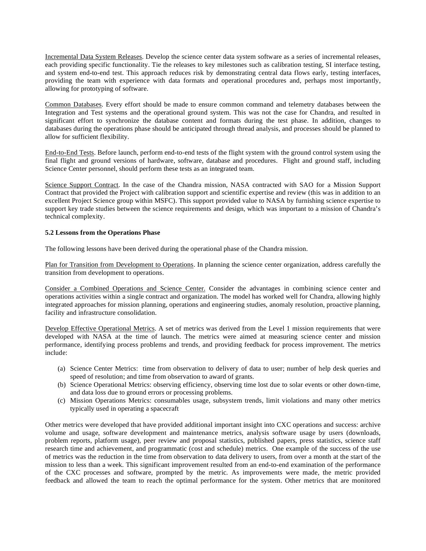Incremental Data System Releases. Develop the science center data system software as a series of incremental releases, each providing specific functionality. Tie the releases to key milestones such as calibration testing, SI interface testing, and system end-to-end test. This approach reduces risk by demonstrating central data flows early, testing interfaces, providing the team with experience with data formats and operational procedures and, perhaps most importantly, allowing for prototyping of software.

Common Databases. Every effort should be made to ensure common command and telemetry databases between the Integration and Test systems and the operational ground system. This was not the case for Chandra, and resulted in significant effort to synchronize the database content and formats during the test phase. In addition, changes to databases during the operations phase should be anticipated through thread analysis, and processes should be planned to allow for sufficient flexibility.

End-to-End Tests. Before launch, perform end-to-end tests of the flight system with the ground control system using the final flight and ground versions of hardware, software, database and procedures. Flight and ground staff, including Science Center personnel, should perform these tests as an integrated team.

Science Support Contract. In the case of the Chandra mission, NASA contracted with SAO for a Mission Support Contract that provided the Project with calibration support and scientific expertise and review (this was in addition to an excellent Project Science group within MSFC). This support provided value to NASA by furnishing science expertise to support key trade studies between the science requirements and design, which was important to a mission of Chandra's technical complexity.

# **5.2 Lessons from the Operations Phase**

The following lessons have been derived during the operational phase of the Chandra mission.

Plan for Transition from Development to Operations. In planning the science center organization, address carefully the transition from development to operations.

Consider a Combined Operations and Science Center. Consider the advantages in combining science center and operations activities within a single contract and organization. The model has worked well for Chandra, allowing highly integrated approaches for mission planning, operations and engineering studies, anomaly resolution, proactive planning, facility and infrastructure consolidation.

Develop Effective Operational Metrics. A set of metrics was derived from the Level 1 mission requirements that were developed with NASA at the time of launch. The metrics were aimed at measuring science center and mission performance, identifying process problems and trends, and providing feedback for process improvement. The metrics include:

- (a) Science Center Metrics: time from observation to delivery of data to user; number of help desk queries and speed of resolution; and time from observation to award of grants.
- (b) Science Operational Metrics: observing efficiency, observing time lost due to solar events or other down-time, and data loss due to ground errors or processing problems.
- (c) Mission Operations Metrics: consumables usage, subsystem trends, limit violations and many other metrics typically used in operating a spacecraft

Other metrics were developed that have provided additional important insight into CXC operations and success: archive volume and usage, software development and maintenance metrics, analysis software usage by users (downloads, problem reports, platform usage), peer review and proposal statistics, published papers, press statistics, science staff research time and achievement, and programmatic (cost and schedule) metrics. One example of the success of the use of metrics was the reduction in the time from observation to data delivery to users, from over a month at the start of the mission to less than a week. This significant improvement resulted from an end-to-end examination of the performance of the CXC processes and software, prompted by the metric. As improvements were made, the metric provided feedback and allowed the team to reach the optimal performance for the system. Other metrics that are monitored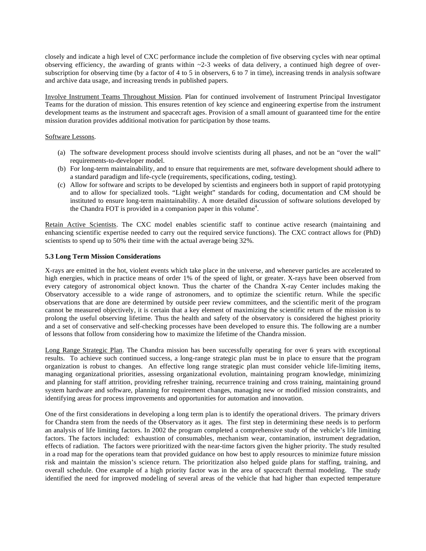closely and indicate a high level of CXC performance include the completion of five observing cycles with near optimal observing efficiency, the awarding of grants within  $\sim$ 2-3 weeks of data delivery, a continued high degree of oversubscription for observing time (by a factor of 4 to 5 in observers, 6 to 7 in time), increasing trends in analysis software and archive data usage, and increasing trends in published papers.

Involve Instrument Teams Throughout Mission. Plan for continued involvement of Instrument Principal Investigator Teams for the duration of mission. This ensures retention of key science and engineering expertise from the instrument development teams as the instrument and spacecraft ages. Provision of a small amount of guaranteed time for the entire mission duration provides additional motivation for participation by those teams.

# Software Lessons.

- (a) The software development process should involve scientists during all phases, and not be an "over the wall" requirements-to-developer model.
- (b) For long-term maintainability, and to ensure that requirements are met, software development should adhere to a standard paradigm and life-cycle (requirements, specifications, coding, testing).
- (c) Allow for software and scripts to be developed by scientists and engineers both in support of rapid prototyping and to allow for specialized tools. "Light weight" standards for coding, documentation and CM should be instituted to ensure long-term maintainability. A more detailed discussion of software solutions developed by the Chandra FOT is provided in a companion paper in this volume<sup>4</sup>.

Retain Active Scientists. The CXC model enables scientific staff to continue active research (maintaining and enhancing scientific expertise needed to carry out the required service functions). The CXC contract allows for (PhD) scientists to spend up to 50% their time with the actual average being 32%.

# **5.3 Long Term Mission Considerations**

X-rays are emitted in the hot, violent events which take place in the universe, and whenever particles are accelerated to high energies, which in practice means of order 1% of the speed of light, or greater. X-rays have been observed from every category of astronomical object known. Thus the charter of the Chandra X-ray Center includes making the Observatory accessible to a wide range of astronomers, and to optimize the scientific return. While the specific observations that are done are determined by outside peer review committees, and the scientific merit of the program cannot be measured objectively, it is certain that a key element of maximizing the scientific return of the mission is to prolong the useful observing lifetime. Thus the health and safety of the observatory is considered the highest priority and a set of conservative and self-checking processes have been developed to ensure this. The following are a number of lessons that follow from considering how to maximize the lifetime of the Chandra mission.

Long Range Strategic Plan. The Chandra mission has been successfully operating for over 6 years with exceptional results. To achieve such continued success, a long-range strategic plan must be in place to ensure that the program organization is robust to changes. An effective long range strategic plan must consider vehicle life-limiting items, managing organizational priorities, assessing organizational evolution, maintaining program knowledge, minimizing and planning for staff attrition, providing refresher training, recurrence training and cross training, maintaining ground system hardware and software, planning for requirement changes, managing new or modified mission constraints, and identifying areas for process improvements and opportunities for automation and innovation.

One of the first considerations in developing a long term plan is to identify the operational drivers. The primary drivers for Chandra stem from the needs of the Observatory as it ages. The first step in determining these needs is to perform an analysis of life limiting factors. In 2002 the program completed a comprehensive study of the vehicle's life limiting factors. The factors included: exhaustion of consumables, mechanism wear, contamination, instrument degradation, effects of radiation. The factors were prioritized with the near-time factors given the higher priority. The study resulted in a road map for the operations team that provided guidance on how best to apply resources to minimize future mission risk and maintain the mission's science return. The prioritization also helped guide plans for staffing, training, and overall schedule. One example of a high priority factor was in the area of spacecraft thermal modeling. The study identified the need for improved modeling of several areas of the vehicle that had higher than expected temperature